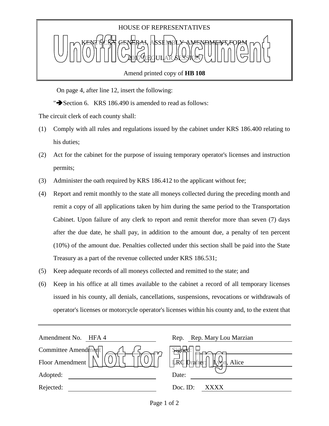

Amend printed copy of **HB 108**

On page 4, after line 12, insert the following:

" $\blacktriangleright$  Section 6. KRS 186.490 is amended to read as follows:

The circuit clerk of each county shall:

- (1) Comply with all rules and regulations issued by the cabinet under KRS 186.400 relating to his duties;
- (2) Act for the cabinet for the purpose of issuing temporary operator's licenses and instruction permits;
- (3) Administer the oath required by KRS 186.412 to the applicant without fee;
- (4) Report and remit monthly to the state all moneys collected during the preceding month and remit a copy of all applications taken by him during the same period to the Transportation Cabinet. Upon failure of any clerk to report and remit therefor more than seven (7) days after the due date, he shall pay, in addition to the amount due, a penalty of ten percent (10%) of the amount due. Penalties collected under this section shall be paid into the State Treasury as a part of the revenue collected under KRS 186.531;
- (5) Keep adequate records of all moneys collected and remitted to the state; and
- (6) Keep in his office at all times available to the cabinet a record of all temporary licenses issued in his county, all denials, cancellations, suspensions, revocations or withdrawals of operator's licenses or motorcycle operator's licenses within his county and, to the extent that

| Amendment No.<br>HFA 4 | Rep. Rep. Mary Lou Marzian               |
|------------------------|------------------------------------------|
| Committee Amendment    | $\frac{1}{2}$                            |
| Floor Amendment        | $\pi$ c Drafter:<br>$\Gamma$<br>n, Alice |
| Adopted:               | Date:                                    |
| Rejected:              | Doc. ID:<br><b>XXXX</b>                  |